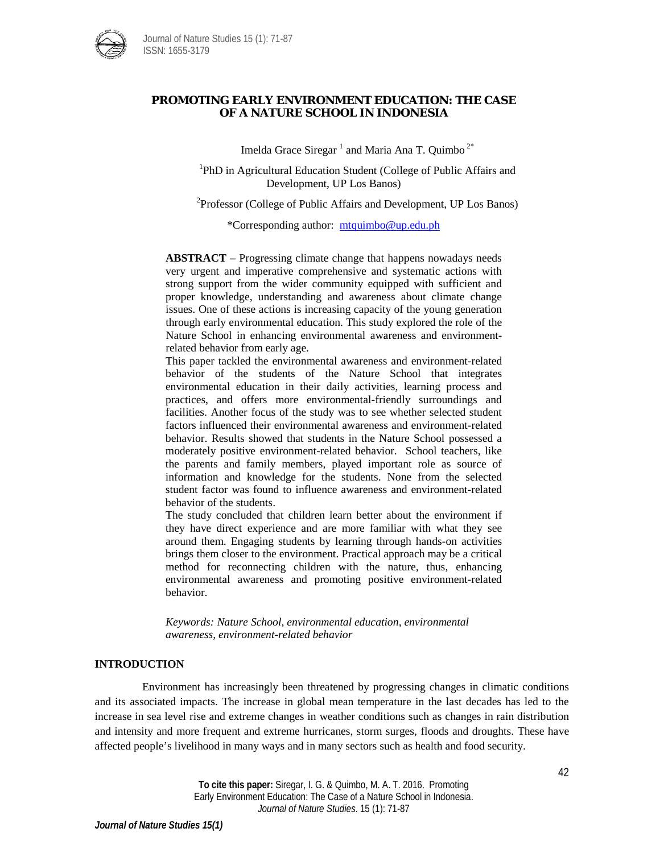

## **PROMOTING EARLY ENVIRONMENT EDUCATION: THE CASE OF A NATURE SCHOOL IN INDONESIA**

Imelda Grace Siregar<sup>1</sup> and Maria Ana T. Quimbo<sup>2\*</sup>

<sup>1</sup>PhD in Agricultural Education Student (College of Public Affairs and Development, UP Los Banos)

<sup>2</sup>Professor (College of Public Affairs and Development, UP Los Banos)

\*Corresponding author: [mtquimbo@up.edu.ph](mailto:mtquimbo@up.edu.ph)

**ABSTRACT –** Progressing climate change that happens nowadays needs very urgent and imperative comprehensive and systematic actions with strong support from the wider community equipped with sufficient and proper knowledge, understanding and awareness about climate change issues. One of these actions is increasing capacity of the young generation through early environmental education. This study explored the role of the Nature School in enhancing environmental awareness and environmentrelated behavior from early age.

This paper tackled the environmental awareness and environment-related behavior of the students of the Nature School that integrates environmental education in their daily activities, learning process and practices, and offers more environmental-friendly surroundings and facilities. Another focus of the study was to see whether selected student factors influenced their environmental awareness and environment-related behavior. Results showed that students in the Nature School possessed a moderately positive environment-related behavior. School teachers, like the parents and family members, played important role as source of information and knowledge for the students. None from the selected student factor was found to influence awareness and environment-related behavior of the students.

The study concluded that children learn better about the environment if they have direct experience and are more familiar with what they see around them. Engaging students by learning through hands-on activities brings them closer to the environment. Practical approach may be a critical method for reconnecting children with the nature, thus, enhancing environmental awareness and promoting positive environment-related behavior.

*Keywords: Nature School, environmental education, environmental awareness, environment-related behavior*

## **INTRODUCTION**

Environment has increasingly been threatened by progressing changes in climatic conditions and its associated impacts. The increase in global mean temperature in the last decades has led to the increase in sea level rise and extreme changes in weather conditions such as changes in rain distribution and intensity and more frequent and extreme hurricanes, storm surges, floods and droughts. These have affected people's livelihood in many ways and in many sectors such as health and food security.

> **To cite this paper:** Siregar, I. G. & Quimbo, M. A. T. 2016. Promoting Early Environment Education: The Case of a Nature School in Indonesia. *Journal of Nature Studies*. 15 (1): 71-87

*Journal of Nature Studies 15(1)*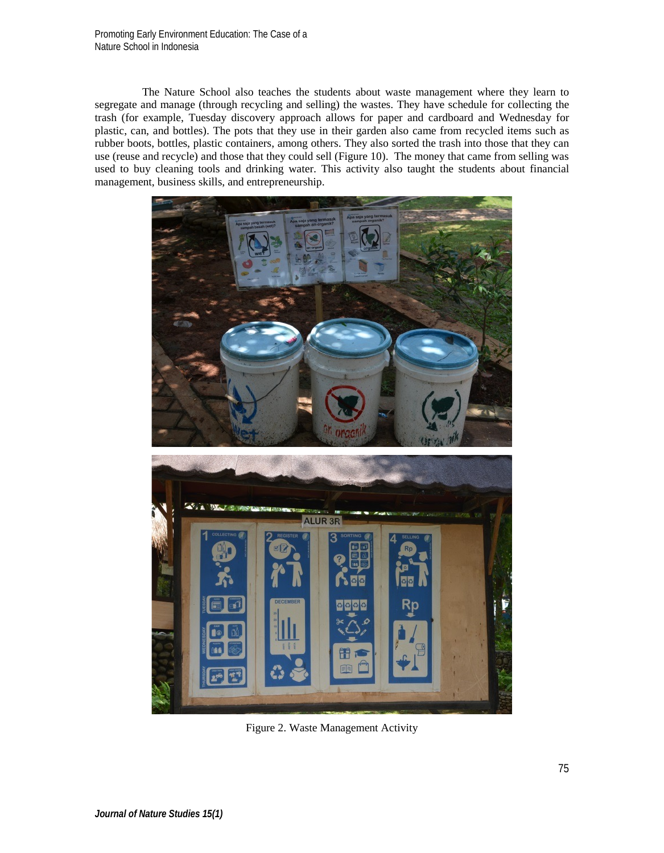The Nature School also teaches the students about waste management where they learn to segregate and manage (through recycling and selling) the wastes. They have schedule for collecting the trash (for example, Tuesday discovery approach allows for paper and cardboard and Wednesday for plastic, can, and bottles). The pots that they use in their garden also came from recycled items such as rubber boots, bottles, plastic containers, among others. They also sorted the trash into those that they can use (reuse and recycle) and those that they could sell (Figure 10). The money that came from selling was used to buy cleaning tools and drinking water. This activity also taught the students about financial management, business skills, and entrepreneurship.



Figure 2. Waste Management Activity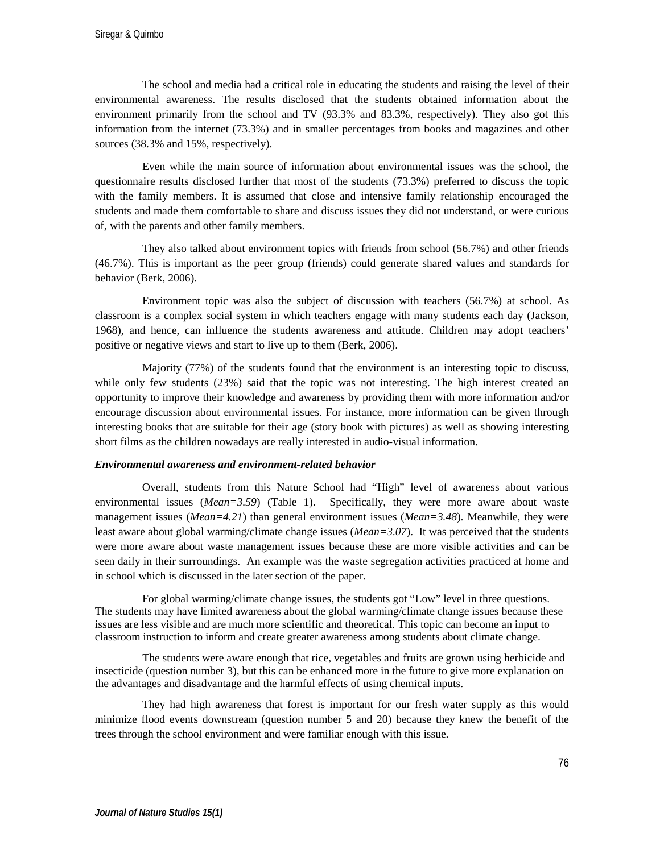The school and media had a critical role in educating the students and raising the level of their environmental awareness. The results disclosed that the students obtained information about the environment primarily from the school and TV (93.3% and 83.3%, respectively). They also got this information from the internet (73.3%) and in smaller percentages from books and magazines and other sources (38.3% and 15%, respectively).

Even while the main source of information about environmental issues was the school, the questionnaire results disclosed further that most of the students (73.3%) preferred to discuss the topic with the family members. It is assumed that close and intensive family relationship encouraged the students and made them comfortable to share and discuss issues they did not understand, or were curious of, with the parents and other family members.

They also talked about environment topics with friends from school (56.7%) and other friends (46.7%). This is important as the peer group (friends) could generate shared values and standards for behavior (Berk, 2006).

Environment topic was also the subject of discussion with teachers (56.7%) at school. As classroom is a complex social system in which teachers engage with many students each day (Jackson, 1968), and hence, can influence the students awareness and attitude. Children may adopt teachers' positive or negative views and start to live up to them (Berk, 2006).

Majority (77%) of the students found that the environment is an interesting topic to discuss, while only few students (23%) said that the topic was not interesting. The high interest created an opportunity to improve their knowledge and awareness by providing them with more information and/or encourage discussion about environmental issues. For instance, more information can be given through interesting books that are suitable for their age (story book with pictures) as well as showing interesting short films as the children nowadays are really interested in audio-visual information.

#### *Environmental awareness and environment-related behavior*

Overall, students from this Nature School had "High" level of awareness about various environmental issues (*Mean=3.59*) (Table 1). Specifically, they were more aware about waste management issues (*Mean=4.21*) than general environment issues (*Mean=3.48*). Meanwhile, they were least aware about global warming/climate change issues (*Mean=3.07*). It was perceived that the students were more aware about waste management issues because these are more visible activities and can be seen daily in their surroundings. An example was the waste segregation activities practiced at home and in school which is discussed in the later section of the paper.

For global warming/climate change issues, the students got "Low" level in three questions. The students may have limited awareness about the global warming/climate change issues because these issues are less visible and are much more scientific and theoretical. This topic can become an input to classroom instruction to inform and create greater awareness among students about climate change.

The students were aware enough that rice, vegetables and fruits are grown using herbicide and insecticide (question number 3), but this can be enhanced more in the future to give more explanation on the advantages and disadvantage and the harmful effects of using chemical inputs.

They had high awareness that forest is important for our fresh water supply as this would minimize flood events downstream (question number 5 and 20) because they knew the benefit of the trees through the school environment and were familiar enough with this issue.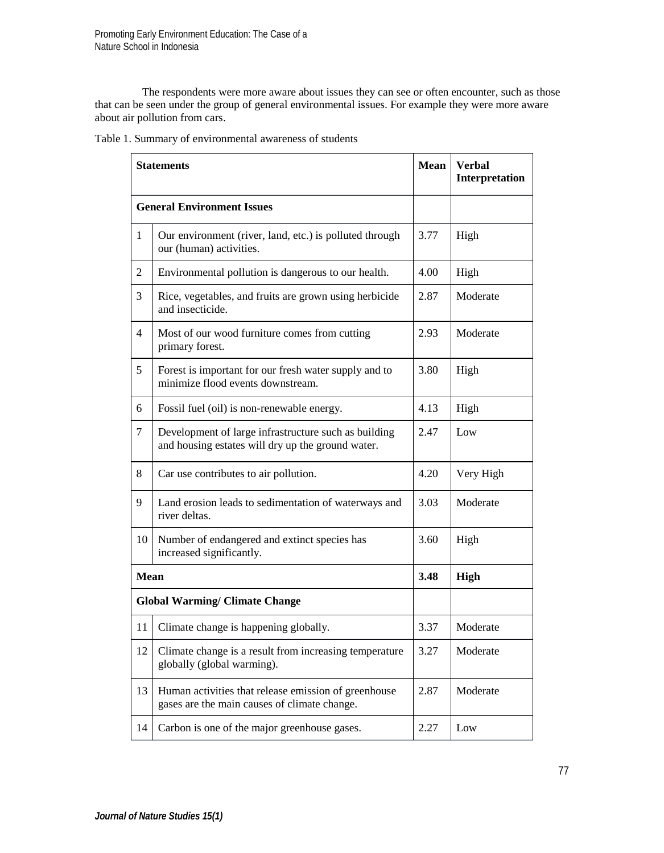The respondents were more aware about issues they can see or often encounter, such as those that can be seen under the group of general environmental issues. For example they were more aware about air pollution from cars.

|  |  | Table 1. Summary of environmental awareness of students |
|--|--|---------------------------------------------------------|
|--|--|---------------------------------------------------------|

|                | <b>Statements</b>                                                                                         | Mean | <b>Verbal</b><br>Interpretation |
|----------------|-----------------------------------------------------------------------------------------------------------|------|---------------------------------|
|                | <b>General Environment Issues</b>                                                                         |      |                                 |
| 1              | Our environment (river, land, etc.) is polluted through<br>our (human) activities.                        | 3.77 | High                            |
| $\overline{c}$ | Environmental pollution is dangerous to our health.                                                       | 4.00 | High                            |
| 3              | Rice, vegetables, and fruits are grown using herbicide<br>and insecticide.                                | 2.87 | Moderate                        |
| 4              | Most of our wood furniture comes from cutting<br>primary forest.                                          | 2.93 | Moderate                        |
| 5              | Forest is important for our fresh water supply and to<br>minimize flood events downstream.                | 3.80 | High                            |
| 6              | Fossil fuel (oil) is non-renewable energy.                                                                | 4.13 | High                            |
| $\overline{7}$ | Development of large infrastructure such as building<br>and housing estates will dry up the ground water. | 2.47 | Low                             |
| 8              | Car use contributes to air pollution.                                                                     | 4.20 | Very High                       |
| 9              | Land erosion leads to sedimentation of waterways and<br>river deltas.                                     | 3.03 | Moderate                        |
| 10             | Number of endangered and extinct species has<br>increased significantly.                                  | 3.60 | High                            |
| Mean           |                                                                                                           | 3.48 | <b>High</b>                     |
|                | <b>Global Warming/ Climate Change</b>                                                                     |      |                                 |
| 11             | Climate change is happening globally.                                                                     | 3.37 | Moderate                        |
| 12             | Climate change is a result from increasing temperature<br>globally (global warming).                      | 3.27 | Moderate                        |
| 13             | Human activities that release emission of greenhouse<br>gases are the main causes of climate change.      | 2.87 | Moderate                        |
| 14             | Carbon is one of the major greenhouse gases.                                                              | 2.27 | Low                             |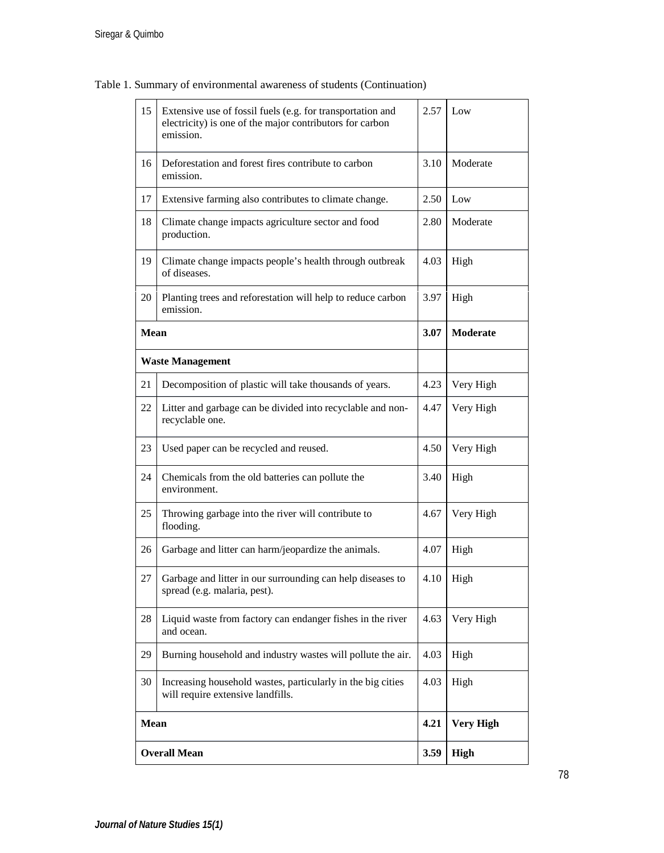| 15   | Extensive use of fossil fuels (e.g. for transportation and<br>electricity) is one of the major contributors for carbon<br>emission. | 2.57 | Low              |
|------|-------------------------------------------------------------------------------------------------------------------------------------|------|------------------|
| 16   | Deforestation and forest fires contribute to carbon<br>emission.                                                                    | 3.10 | Moderate         |
| 17   | Extensive farming also contributes to climate change.                                                                               | 2.50 | Low              |
| 18   | Climate change impacts agriculture sector and food<br>production.                                                                   | 2.80 | Moderate         |
| 19   | Climate change impacts people's health through outbreak<br>of diseases.                                                             | 4.03 | High             |
| 20   | Planting trees and reforestation will help to reduce carbon<br>emission.                                                            | 3.97 | High             |
| Mean |                                                                                                                                     | 3.07 | Moderate         |
|      | <b>Waste Management</b>                                                                                                             |      |                  |
| 21   | Decomposition of plastic will take thousands of years.                                                                              | 4.23 | Very High        |
| 22   | Litter and garbage can be divided into recyclable and non-<br>recyclable one.                                                       | 4.47 | Very High        |
| 23   | Used paper can be recycled and reused.                                                                                              | 4.50 | Very High        |
| 24   | Chemicals from the old batteries can pollute the<br>environment.                                                                    | 3.40 | High             |
| 25   | Throwing garbage into the river will contribute to<br>flooding.                                                                     | 4.67 | Very High        |
| 26   | Garbage and litter can harm/jeopardize the animals.                                                                                 | 4.07 | High             |
| 27   | Garbage and litter in our surrounding can help diseases to<br>spread (e.g. malaria, pest).                                          | 4.10 | High             |
| 28   | Liquid waste from factory can endanger fishes in the river<br>and ocean.                                                            | 4.63 | Very High        |
| 29   | Burning household and industry wastes will pollute the air.                                                                         | 4.03 | High             |
| 30   | Increasing household wastes, particularly in the big cities<br>will require extensive landfills.                                    | 4.03 | High             |
| Mean |                                                                                                                                     | 4.21 | <b>Very High</b> |
|      | <b>Overall Mean</b>                                                                                                                 | 3.59 | <b>High</b>      |

Table 1. Summary of environmental awareness of students (Continuation)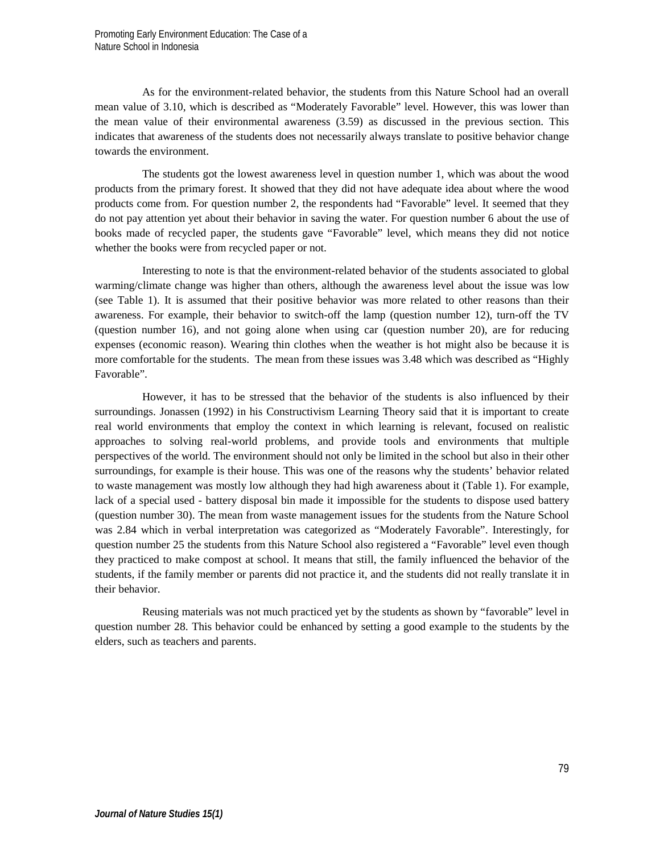As for the environment-related behavior, the students from this Nature School had an overall mean value of 3.10, which is described as "Moderately Favorable" level. However, this was lower than the mean value of their environmental awareness (3.59) as discussed in the previous section. This indicates that awareness of the students does not necessarily always translate to positive behavior change towards the environment.

The students got the lowest awareness level in question number 1, which was about the wood products from the primary forest. It showed that they did not have adequate idea about where the wood products come from. For question number 2, the respondents had "Favorable" level. It seemed that they do not pay attention yet about their behavior in saving the water. For question number 6 about the use of books made of recycled paper, the students gave "Favorable" level, which means they did not notice whether the books were from recycled paper or not.

Interesting to note is that the environment-related behavior of the students associated to global warming/climate change was higher than others, although the awareness level about the issue was low (see Table 1). It is assumed that their positive behavior was more related to other reasons than their awareness. For example, their behavior to switch-off the lamp (question number 12), turn-off the TV (question number 16), and not going alone when using car (question number 20), are for reducing expenses (economic reason). Wearing thin clothes when the weather is hot might also be because it is more comfortable for the students. The mean from these issues was 3.48 which was described as "Highly Favorable".

However, it has to be stressed that the behavior of the students is also influenced by their surroundings. Jonassen (1992) in his Constructivism Learning Theory said that it is important to create real world environments that employ the context in which learning is relevant, focused on realistic approaches to solving real-world problems, and provide tools and environments that multiple perspectives of the world. The environment should not only be limited in the school but also in their other surroundings, for example is their house. This was one of the reasons why the students' behavior related to waste management was mostly low although they had high awareness about it (Table 1). For example, lack of a special used - battery disposal bin made it impossible for the students to dispose used battery (question number 30). The mean from waste management issues for the students from the Nature School was 2.84 which in verbal interpretation was categorized as "Moderately Favorable". Interestingly, for question number 25 the students from this Nature School also registered a "Favorable" level even though they practiced to make compost at school. It means that still, the family influenced the behavior of the students, if the family member or parents did not practice it, and the students did not really translate it in their behavior.

Reusing materials was not much practiced yet by the students as shown by "favorable" level in question number 28. This behavior could be enhanced by setting a good example to the students by the elders, such as teachers and parents.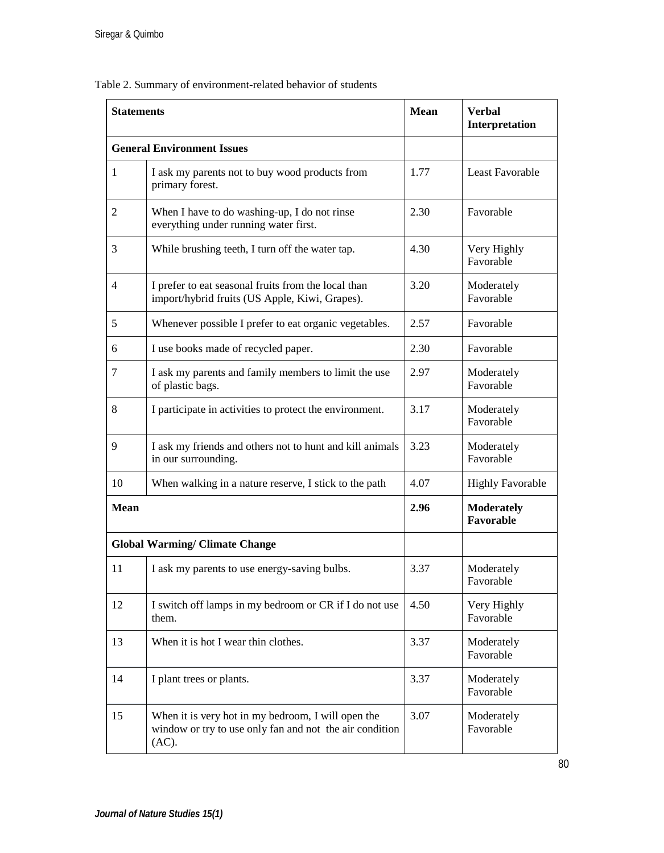Table 2. Summary of environment-related behavior of students

| <b>Statements</b> |                                                                                                                        | Mean | <b>Verbal</b><br>Interpretation       |
|-------------------|------------------------------------------------------------------------------------------------------------------------|------|---------------------------------------|
|                   | <b>General Environment Issues</b>                                                                                      |      |                                       |
| 1                 | I ask my parents not to buy wood products from<br>primary forest.                                                      | 1.77 | Least Favorable                       |
| $\overline{c}$    | When I have to do washing-up, I do not rinse<br>everything under running water first.                                  | 2.30 | Favorable                             |
| 3                 | While brushing teeth, I turn off the water tap.                                                                        | 4.30 | Very Highly<br>Favorable              |
| $\overline{4}$    | I prefer to eat seasonal fruits from the local than<br>import/hybrid fruits (US Apple, Kiwi, Grapes).                  | 3.20 | Moderately<br>Favorable               |
| 5                 | Whenever possible I prefer to eat organic vegetables.                                                                  | 2.57 | Favorable                             |
| 6                 | I use books made of recycled paper.                                                                                    | 2.30 | Favorable                             |
| 7                 | I ask my parents and family members to limit the use<br>of plastic bags.                                               | 2.97 | Moderately<br>Favorable               |
| 8                 | I participate in activities to protect the environment.                                                                | 3.17 | Moderately<br>Favorable               |
| 9                 | I ask my friends and others not to hunt and kill animals<br>in our surrounding.                                        | 3.23 | Moderately<br>Favorable               |
| 10                | When walking in a nature reserve, I stick to the path                                                                  | 4.07 | <b>Highly Favorable</b>               |
| Mean              |                                                                                                                        | 2.96 | <b>Moderately</b><br><b>Favorable</b> |
|                   | <b>Global Warming/ Climate Change</b>                                                                                  |      |                                       |
| 11                | I ask my parents to use energy-saving bulbs.                                                                           | 3.37 | Moderately<br>Favorable               |
| 12                | I switch off lamps in my bedroom or CR if I do not use<br>them.                                                        | 4.50 | Very Highly<br>Favorable              |
| 13                | When it is hot I wear thin clothes.                                                                                    | 3.37 | Moderately<br>Favorable               |
| 14                | I plant trees or plants.                                                                                               | 3.37 | Moderately<br>Favorable               |
| 15                | When it is very hot in my bedroom, I will open the<br>window or try to use only fan and not the air condition<br>(AC). | 3.07 | Moderately<br>Favorable               |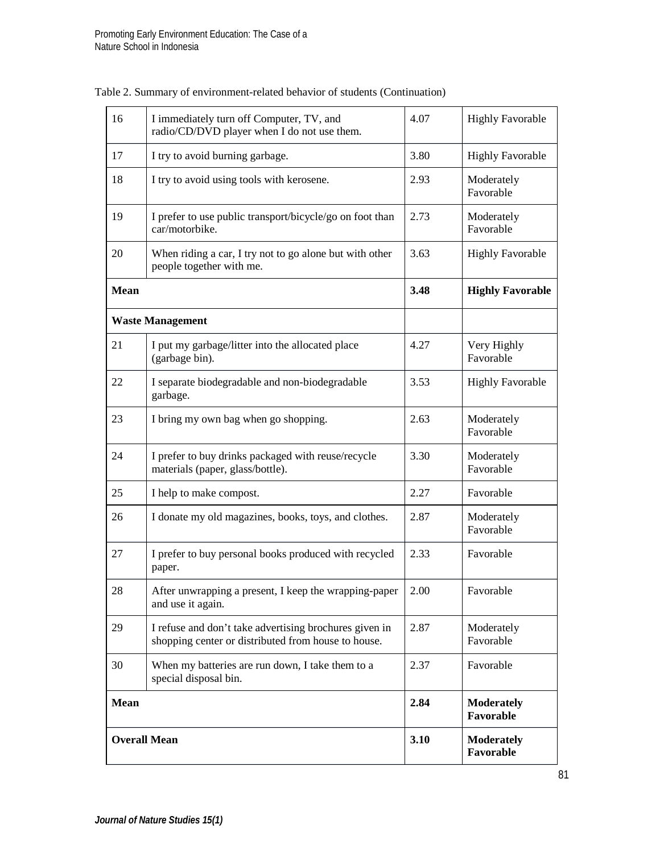| 16                  | I immediately turn off Computer, TV, and<br>radio/CD/DVD player when I do not use them.                       | 4.07 | <b>Highly Favorable</b>        |
|---------------------|---------------------------------------------------------------------------------------------------------------|------|--------------------------------|
| 17                  | I try to avoid burning garbage.                                                                               | 3.80 | <b>Highly Favorable</b>        |
| 18                  | I try to avoid using tools with kerosene.                                                                     | 2.93 | Moderately<br>Favorable        |
| 19                  | I prefer to use public transport/bicycle/go on foot than<br>car/motorbike.                                    | 2.73 | Moderately<br>Favorable        |
| 20                  | When riding a car, I try not to go alone but with other<br>people together with me.                           | 3.63 | <b>Highly Favorable</b>        |
| Mean                |                                                                                                               | 3.48 | <b>Highly Favorable</b>        |
|                     | <b>Waste Management</b>                                                                                       |      |                                |
| 21                  | I put my garbage/litter into the allocated place<br>(garbage bin).                                            | 4.27 | Very Highly<br>Favorable       |
| 22                  | I separate biodegradable and non-biodegradable<br>garbage.                                                    | 3.53 | <b>Highly Favorable</b>        |
| 23                  | I bring my own bag when go shopping.                                                                          | 2.63 | Moderately<br>Favorable        |
| 24                  | I prefer to buy drinks packaged with reuse/recycle<br>materials (paper, glass/bottle).                        | 3.30 | Moderately<br>Favorable        |
| 25                  | I help to make compost.                                                                                       | 2.27 | Favorable                      |
| 26                  | I donate my old magazines, books, toys, and clothes.                                                          | 2.87 | Moderately<br>Favorable        |
| 27                  | I prefer to buy personal books produced with recycled<br>paper.                                               | 2.33 | Favorable                      |
| 28                  | After unwrapping a present, I keep the wrapping-paper<br>and use it again.                                    | 2.00 | Favorable                      |
| 29                  | I refuse and don't take advertising brochures given in<br>shopping center or distributed from house to house. | 2.87 | Moderately<br>Favorable        |
| 30                  | When my batteries are run down, I take them to a<br>special disposal bin.                                     | 2.37 | Favorable                      |
| Mean                |                                                                                                               | 2.84 | <b>Moderately</b><br>Favorable |
| <b>Overall Mean</b> |                                                                                                               | 3.10 | <b>Moderately</b><br>Favorable |

Table 2. Summary of environment-related behavior of students (Continuation)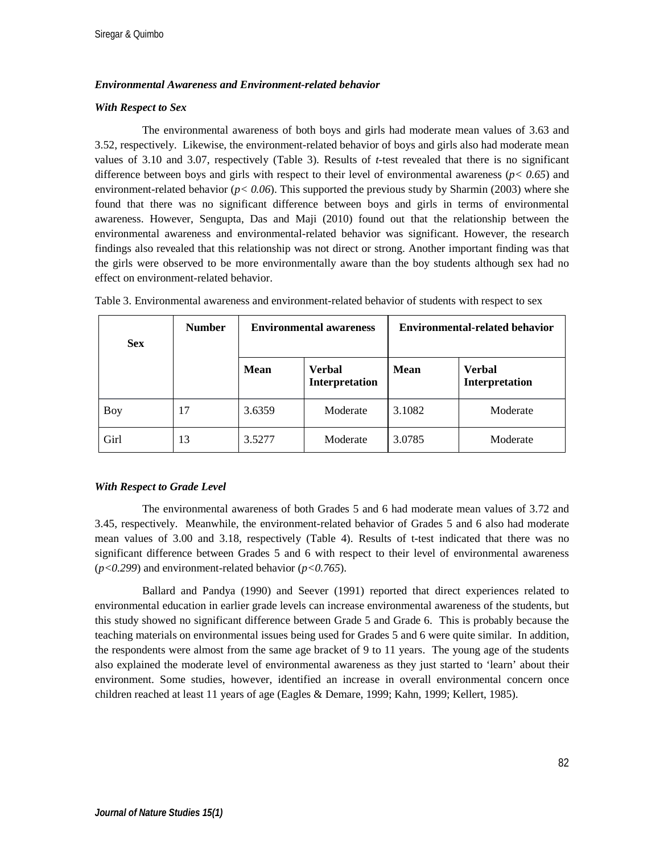## *Environmental Awareness and Environment-related behavior*

#### *With Respect to Sex*

The environmental awareness of both boys and girls had moderate mean values of 3.63 and 3.52, respectively. Likewise, the environment-related behavior of boys and girls also had moderate mean values of 3.10 and 3.07, respectively (Table 3). Results of *t*-test revealed that there is no significant difference between boys and girls with respect to their level of environmental awareness (*p< 0.65*) and environment-related behavior (*p< 0.06*). This supported the previous study by Sharmin (2003) where she found that there was no significant difference between boys and girls in terms of environmental awareness. However, Sengupta, Das and Maji (2010) found out that the relationship between the environmental awareness and environmental-related behavior was significant. However, the research findings also revealed that this relationship was not direct or strong. Another important finding was that the girls were observed to be more environmentally aware than the boy students although sex had no effect on environment-related behavior.

| <b>Sex</b> | <b>Number</b> | <b>Environmental awareness</b> |                                 |        | <b>Environmental-related behavior</b> |
|------------|---------------|--------------------------------|---------------------------------|--------|---------------------------------------|
|            |               | Mean                           | <b>Verbal</b><br>Interpretation | Mean   | <b>Verbal</b><br>Interpretation       |
| Boy        | 17            | 3.6359                         | Moderate                        | 3.1082 | Moderate                              |
| Girl       | 13            | 3.5277                         | Moderate                        | 3.0785 | Moderate                              |

Table 3. Environmental awareness and environment-related behavior of students with respect to sex

## *With Respect to Grade Level*

The environmental awareness of both Grades 5 and 6 had moderate mean values of 3.72 and 3.45, respectively. Meanwhile, the environment-related behavior of Grades 5 and 6 also had moderate mean values of 3.00 and 3.18, respectively (Table 4). Results of t-test indicated that there was no significant difference between Grades 5 and 6 with respect to their level of environmental awareness (*p<0.299*) and environment-related behavior (*p<0.765*).

Ballard and Pandya (1990) and Seever (1991) reported that direct experiences related to environmental education in earlier grade levels can increase environmental awareness of the students, but this study showed no significant difference between Grade 5 and Grade 6. This is probably because the teaching materials on environmental issues being used for Grades 5 and 6 were quite similar. In addition, the respondents were almost from the same age bracket of 9 to 11 years. The young age of the students also explained the moderate level of environmental awareness as they just started to 'learn' about their environment. Some studies, however, identified an increase in overall environmental concern once children reached at least 11 years of age (Eagles & Demare, 1999; Kahn, 1999; Kellert, 1985).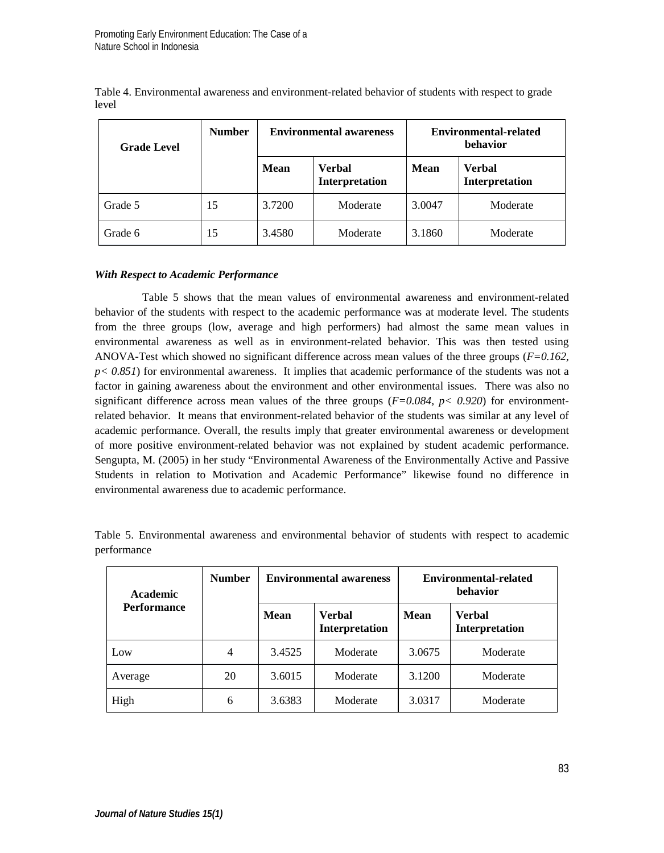| <b>Grade Level</b> | <b>Number</b> | <b>Environmental awareness</b> |                                 |        | Environmental-related<br>behavior |
|--------------------|---------------|--------------------------------|---------------------------------|--------|-----------------------------------|
|                    |               | Mean                           | <b>Verbal</b><br>Interpretation | Mean   | <b>Verbal</b><br>Interpretation   |
| Grade 5            | 15            | 3.7200                         | Moderate                        | 3.0047 | Moderate                          |
| Grade 6            | 15            | 3.4580                         | Moderate                        | 3.1860 | Moderate                          |

Table 4. Environmental awareness and environment-related behavior of students with respect to grade level

## *With Respect to Academic Performance*

Table 5 shows that the mean values of environmental awareness and environment-related behavior of the students with respect to the academic performance was at moderate level. The students from the three groups (low, average and high performers) had almost the same mean values in environmental awareness as well as in environment-related behavior. This was then tested using ANOVA-Test which showed no significant difference across mean values of the three groups (*F=0.162,*  $p < 0.851$ ) for environmental awareness. It implies that academic performance of the students was not a factor in gaining awareness about the environment and other environmental issues. There was also no significant difference across mean values of the three groups  $(F=0.084, p< 0.920)$  for environmentrelated behavior. It means that environment-related behavior of the students was similar at any level of academic performance. Overall, the results imply that greater environmental awareness or development of more positive environment-related behavior was not explained by student academic performance. Sengupta, M. (2005) in her study "Environmental Awareness of the Environmentally Active and Passive Students in relation to Motivation and Academic Performance" likewise found no difference in environmental awareness due to academic performance.

| <b>Academic</b>    | <b>Number</b> | <b>Environmental awareness</b> |                          | <b>Environmental-related</b><br><b>behavior</b> |                                 |
|--------------------|---------------|--------------------------------|--------------------------|-------------------------------------------------|---------------------------------|
| <b>Performance</b> |               | Mean                           | Verbal<br>Interpretation | Mean                                            | <b>Verbal</b><br>Interpretation |
| Low                | 4             | 3.4525                         | Moderate                 | 3.0675                                          | Moderate                        |
| Average            | 20            | 3.6015                         | Moderate                 | 3.1200                                          | Moderate                        |
| High               | 6             | 3.6383                         | Moderate                 | 3.0317                                          | Moderate                        |

Table 5. Environmental awareness and environmental behavior of students with respect to academic performance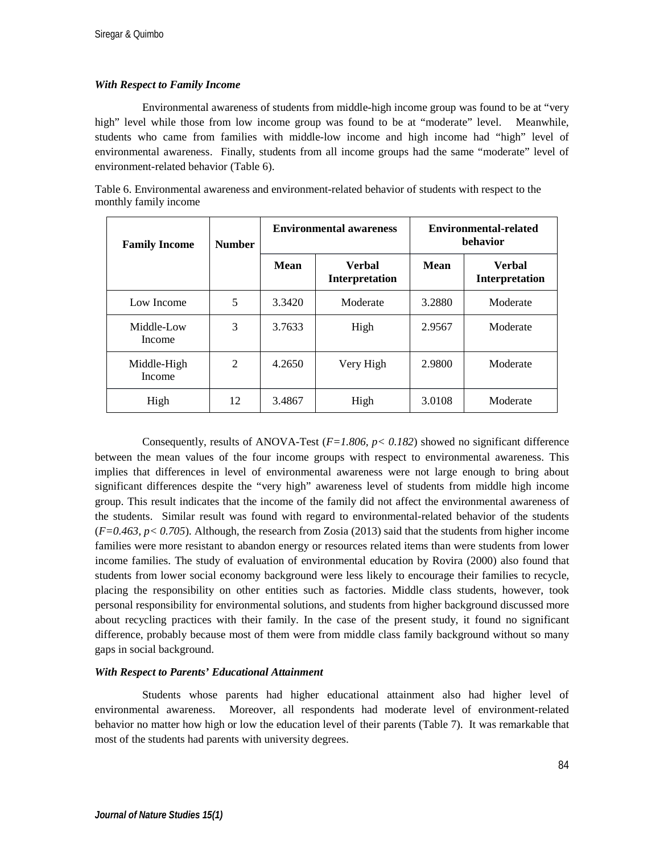## *With Respect to Family Income*

Environmental awareness of students from middle-high income group was found to be at "very high" level while those from low income group was found to be at "moderate" level. Meanwhile, students who came from families with middle-low income and high income had "high" level of environmental awareness. Finally, students from all income groups had the same "moderate" level of environment-related behavior (Table 6).

| Table 6. Environmental awareness and environment-related behavior of students with respect to the |  |  |  |
|---------------------------------------------------------------------------------------------------|--|--|--|
| monthly family income                                                                             |  |  |  |

| <b>Family Income</b>         | <b>Number</b>  | <b>Environmental awareness</b> |                                 |        | Environmental-related<br>behavior |
|------------------------------|----------------|--------------------------------|---------------------------------|--------|-----------------------------------|
|                              |                | Mean                           | Verbal<br><b>Interpretation</b> | Mean   | <b>Verbal</b><br>Interpretation   |
| Low Income                   | 5              | 3.3420                         | Moderate                        | 3.2880 | Moderate                          |
| Middle-Low<br><b>Income</b>  | 3              | 3.7633                         | High                            | 2.9567 | Moderate                          |
| Middle-High<br><b>Income</b> | $\overline{c}$ | 4.2650                         | Very High                       | 2.9800 | Moderate                          |
| High                         | 12             | 3.4867                         | High                            | 3.0108 | Moderate                          |

Consequently, results of ANOVA-Test (*F=1.806, p< 0.182*) showed no significant difference between the mean values of the four income groups with respect to environmental awareness. This implies that differences in level of environmental awareness were not large enough to bring about significant differences despite the "very high" awareness level of students from middle high income group. This result indicates that the income of the family did not affect the environmental awareness of the students. Similar result was found with regard to environmental-related behavior of the students (*F=0.463, p< 0.705*). Although, the research from Zosia (2013) said that the students from higher income families were more resistant to abandon energy or resources related items than were students from lower income families. The study of evaluation of environmental education by Rovira (2000) also found that students from lower social economy background were less likely to encourage their families to recycle, placing the responsibility on other entities such as factories. Middle class students, however, took personal responsibility for environmental solutions, and students from higher background discussed more about recycling practices with their family. In the case of the present study, it found no significant difference, probably because most of them were from middle class family background without so many gaps in social background.

## *With Respect to Parents' Educational Attainment*

Students whose parents had higher educational attainment also had higher level of environmental awareness. Moreover, all respondents had moderate level of environment-related behavior no matter how high or low the education level of their parents (Table 7). It was remarkable that most of the students had parents with university degrees.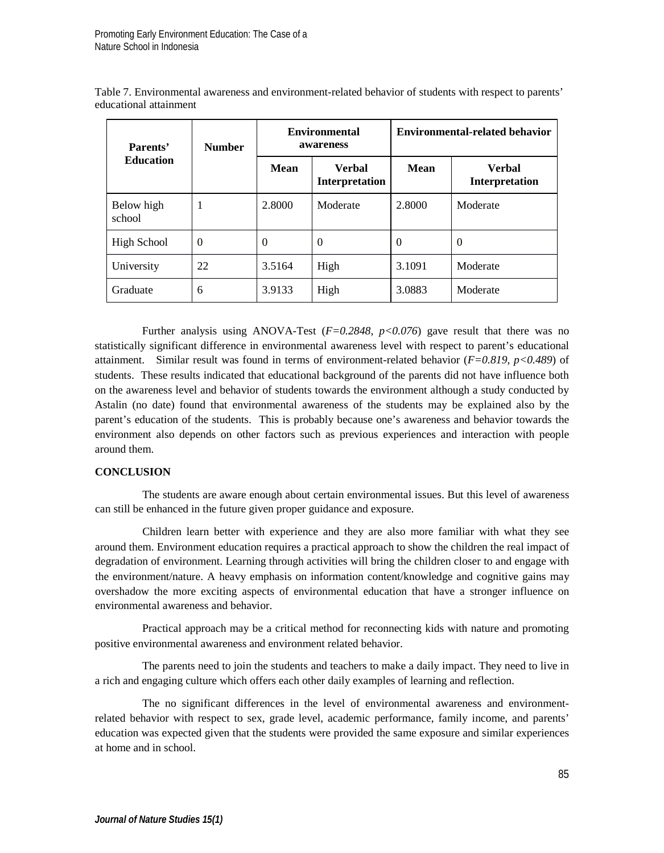| Parents'             | <b>Number</b> | <b>Environmental</b><br>awareness |                          | Environmental-related behavior |                          |  |
|----------------------|---------------|-----------------------------------|--------------------------|--------------------------------|--------------------------|--|
| <b>Education</b>     |               | Mean                              | Verbal<br>Interpretation | Mean                           | Verbal<br>Interpretation |  |
| Below high<br>school |               | 2.8000                            | Moderate                 | 2.8000                         | Moderate                 |  |
| High School          | $\Omega$      | $\theta$                          | $\theta$                 | $\theta$                       | $\Omega$                 |  |
| University           | 22            | 3.5164                            | High                     | 3.1091                         | Moderate                 |  |
| Graduate             | 6             | 3.9133                            | High                     | 3.0883                         | Moderate                 |  |

Table 7. Environmental awareness and environment-related behavior of students with respect to parents' educational attainment

Further analysis using ANOVA-Test  $(F=0.2848, p<0.076)$  gave result that there was no statistically significant difference in environmental awareness level with respect to parent's educational attainment. Similar result was found in terms of environment-related behavior (*F=0.819, p<0.489*) of students. These results indicated that educational background of the parents did not have influence both on the awareness level and behavior of students towards the environment although a study conducted by Astalin (no date) found that environmental awareness of the students may be explained also by the parent's education of the students. This is probably because one's awareness and behavior towards the environment also depends on other factors such as previous experiences and interaction with people around them.

## **CONCLUSION**

The students are aware enough about certain environmental issues. But this level of awareness can still be enhanced in the future given proper guidance and exposure.

Children learn better with experience and they are also more familiar with what they see around them. Environment education requires a practical approach to show the children the real impact of degradation of environment. Learning through activities will bring the children closer to and engage with the environment/nature. A heavy emphasis on information content/knowledge and cognitive gains may overshadow the more exciting aspects of environmental education that have a stronger influence on environmental awareness and behavior.

Practical approach may be a critical method for reconnecting kids with nature and promoting positive environmental awareness and environment related behavior.

The parents need to join the students and teachers to make a daily impact. They need to live in a rich and engaging culture which offers each other daily examples of learning and reflection.

The no significant differences in the level of environmental awareness and environmentrelated behavior with respect to sex, grade level, academic performance, family income, and parents' education was expected given that the students were provided the same exposure and similar experiences at home and in school.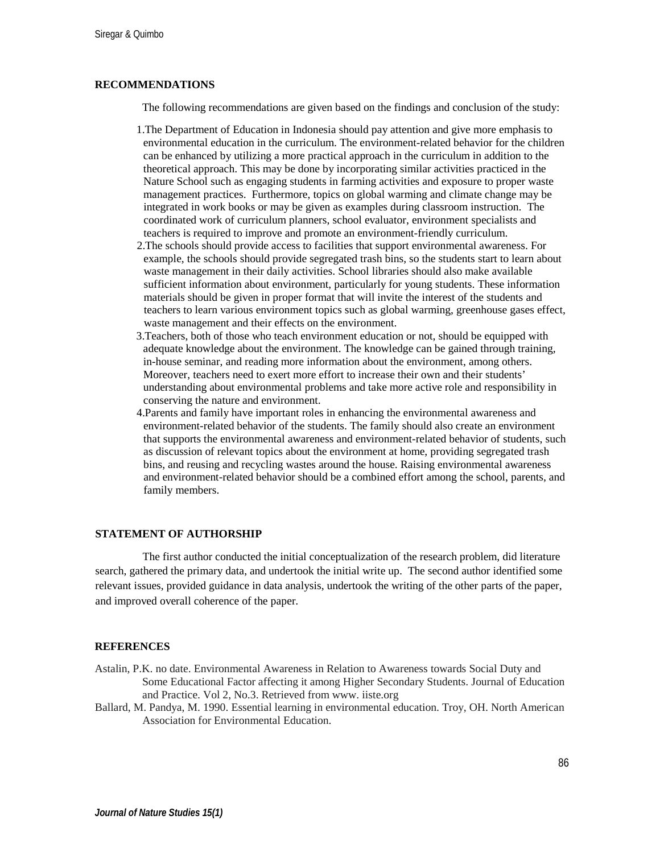#### **RECOMMENDATIONS**

The following recommendations are given based on the findings and conclusion of the study:

- 1.The Department of Education in Indonesia should pay attention and give more emphasis to environmental education in the curriculum. The environment-related behavior for the children can be enhanced by utilizing a more practical approach in the curriculum in addition to the theoretical approach. This may be done by incorporating similar activities practiced in the Nature School such as engaging students in farming activities and exposure to proper waste management practices. Furthermore, topics on global warming and climate change may be integrated in work books or may be given as examples during classroom instruction. The coordinated work of curriculum planners, school evaluator, environment specialists and teachers is required to improve and promote an environment-friendly curriculum.
- 2.The schools should provide access to facilities that support environmental awareness. For example, the schools should provide segregated trash bins, so the students start to learn about waste management in their daily activities. School libraries should also make available sufficient information about environment, particularly for young students. These information materials should be given in proper format that will invite the interest of the students and teachers to learn various environment topics such as global warming, greenhouse gases effect, waste management and their effects on the environment.
- 3.Teachers, both of those who teach environment education or not, should be equipped with adequate knowledge about the environment. The knowledge can be gained through training, in-house seminar, and reading more information about the environment, among others. Moreover, teachers need to exert more effort to increase their own and their students' understanding about environmental problems and take more active role and responsibility in conserving the nature and environment.
- 4.Parents and family have important roles in enhancing the environmental awareness and environment-related behavior of the students. The family should also create an environment that supports the environmental awareness and environment-related behavior of students, such as discussion of relevant topics about the environment at home, providing segregated trash bins, and reusing and recycling wastes around the house. Raising environmental awareness and environment-related behavior should be a combined effort among the school, parents, and family members.

# **STATEMENT OF AUTHORSHIP**

The first author conducted the initial conceptualization of the research problem, did literature search, gathered the primary data, and undertook the initial write up. The second author identified some relevant issues, provided guidance in data analysis, undertook the writing of the other parts of the paper, and improved overall coherence of the paper.

#### **REFERENCES**

- Astalin, P.K. no date. Environmental Awareness in Relation to Awareness towards Social Duty and Some Educational Factor affecting it among Higher Secondary Students. Journal of Education and Practice. Vol 2, No.3. Retrieved from www. iiste.org
- Ballard, M. Pandya, M. 1990. Essential learning in environmental education. Troy, OH. North American Association for Environmental Education.